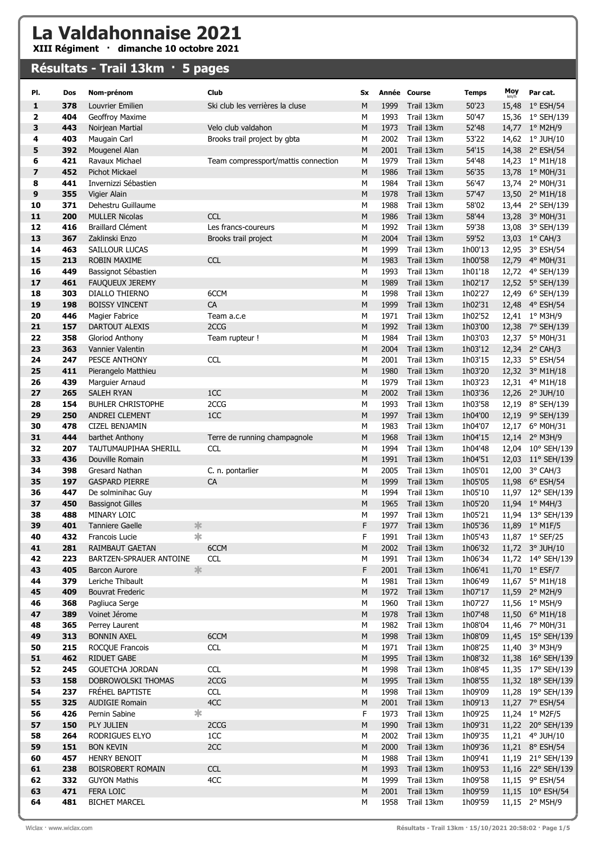## La Valdahonnaise 2021

XIII Régiment · dimanche 10 octobre 2021

## Résultats - Trail 13km · 5 pages

| PI.                     | Dos        | Nom-prénom                                  | Club                                | Sx     |              | Année Course             | <b>Temps</b>       | Moy   | Par cat.                             |
|-------------------------|------------|---------------------------------------------|-------------------------------------|--------|--------------|--------------------------|--------------------|-------|--------------------------------------|
| 1                       | 378        | Louvrier Emilien                            | Ski club les verrières la cluse     | M      | 1999         | Trail 13km               | 50'23              |       | 15,48 1° ESH/54                      |
| $\overline{\mathbf{2}}$ | 404        | Geoffroy Maxime                             |                                     | М      | 1993         | Trail 13km               | 50'47              |       | 15,36 1° SEH/139                     |
| 3                       | 443        | Noirjean Martial                            | Velo club valdahon                  | M      | 1973         | Trail 13km               | 52'48              |       | 14,77 1° M2H/9                       |
| 4                       | 403        | Maugain Carl                                | Brooks trail project by gbta        | М      | 2002         | Trail 13km               | 53'22              |       | 14,62 1° JUH/10                      |
| 5                       | 392        | Mougenel Alan                               |                                     | M      | 2001         | Trail 13km               | 54'15              |       | 14,38 2° ESH/54                      |
| 6                       | 421        | Ravaux Michael                              | Team compressport/mattis connection | М      | 1979         | Trail 13km               | 54'48              |       | 14,23 1° M1H/18                      |
| $\overline{\mathbf{z}}$ | 452        | <b>Pichot Mickael</b>                       |                                     | M      | 1986         | Trail 13km               | 56'35              |       | 13,78 1° M0H/31                      |
| 8                       | 441        | Invernizzi Sébastien                        |                                     | М      | 1984         | Trail 13km               | 56'47              |       | 13,74 2° M0H/31                      |
| $\mathbf{9}$            | 355        | Vigier Alain                                |                                     | M      | 1978         | Trail 13km               | 57'47              |       | 13,50 2° M1H/18                      |
| 10<br>11                | 371<br>200 | Dehestru Guillaume<br><b>MULLER Nicolas</b> | <b>CCL</b>                          | М<br>M | 1988<br>1986 | Trail 13km<br>Trail 13km | 58'02<br>58'44     |       | 13,44 2° SEH/139                     |
| 12                      | 416        | <b>Braillard Clément</b>                    | Les francs-coureurs                 | М      | 1992         | Trail 13km               | 59'38              |       | 13,28 3° M0H/31<br>13,08 3° SEH/139  |
| 13                      | 367        | Zaklinski Enzo                              | Brooks trail project                | M      | 2004         | Trail 13km               | 59'52              |       | 13,03 1° CAH/3                       |
| 14                      | 463        | SAILLOUR LUCAS                              |                                     | М      | 1999         | Trail 13km               | 1h00'13            |       | 12,95 3° ESH/54                      |
| 15                      | 213        | <b>ROBIN MAXIME</b>                         | <b>CCL</b>                          | M      | 1983         | Trail 13km               | 1h00'58            |       | 12,79 4° M0H/31                      |
| 16                      | 449        | Bassignot Sébastien                         |                                     | М      | 1993         | Trail 13km               | 1h01'18            |       | 12,72 4° SEH/139                     |
| 17                      | 461        | <b>FAUQUEUX JEREMY</b>                      |                                     | Μ      | 1989         | Trail 13km               | 1h02'17            |       | 12,52 5° SEH/139                     |
| 18                      | 303        | DIALLO THIERNO                              | 6CCM                                | М      | 1998         | Trail 13km               | 1h02'27            |       | 12,49 6° SEH/139                     |
| 19                      | 198        | <b>BOISSY VINCENT</b>                       | CA                                  | M      | 1999         | Trail 13km               | 1h02'31            |       | 12,48 4° ESH/54                      |
| 20                      | 446        | Magier Fabrice                              | Team a.c.e                          | М      | 1971         | Trail 13km               | 1h02'52            |       | 12,41 1° M3H/9                       |
| 21                      | 157        | DARTOUT ALEXIS                              | 2CCG                                | M      | 1992         | Trail 13km               | 1h03'00            |       | 12,38 7° SEH/139                     |
| 22                      | 358        | Gloriod Anthony                             | Team rupteur !                      | М      | 1984         | Trail 13km               | 1h03'03            | 12,37 | 5° M0H/31                            |
| 23                      | 363        | Vannier Valentin                            |                                     | M      | 2004         | Trail 13km               | 1h03'12            |       | 12,34 2° CAH/3                       |
| 24                      | 247        | PESCE ANTHONY                               | <b>CCL</b>                          | М      | 2001         | Trail 13km               | 1h03'15            |       | 12,33 5° ESH/54                      |
| 25                      | 411        | Pierangelo Matthieu                         |                                     | M      | 1980         | Trail 13km               | 1h03'20            |       | 12,32 3° M1H/18                      |
| 26                      | 439        | Marguier Arnaud                             |                                     | М      | 1979         | Trail 13km               | 1h03'23            |       | 12,31 4° M1H/18                      |
| 27                      | 265        | <b>SALEH RYAN</b>                           | 1CC                                 | M      | 2002<br>1993 | Trail 13km               | 1h03'36            |       | 12,26 2° JUH/10                      |
| 28<br>29                | 154<br>250 | <b>BUHLER CHRISTOPHE</b><br>ANDREI CLEMENT  | 2CCG<br>1CC                         | М<br>M | 1997         | Trail 13km<br>Trail 13km | 1h03'58<br>1h04'00 | 12,19 | 8° SEH/139<br>12,19 9° SEH/139       |
| 30                      | 478        | CIZEL BENJAMIN                              |                                     | М      | 1983         | Trail 13km               | 1h04'07            |       | 12,17 6° M0H/31                      |
| 31                      | 444        | barthet Anthony                             | Terre de running champagnole        | M      | 1968         | Trail 13km               | 1h04'15            |       | 12,14 2° M3H/9                       |
| 32                      | 207        | TAUTUMAUPIHAA SHERILL                       | <b>CCL</b>                          | M      | 1994         | Trail 13km               | 1h04'48            |       | 12,04 10° SEH/139                    |
| 33                      | 436        | Douville Romain                             |                                     | M      | 1991         | Trail 13km               | 1h04'51            |       | 12,03 11° SEH/139                    |
| 34                      | 398        | Gresard Nathan                              | C. n. pontarlier                    | М      | 2005         | Trail 13km               | 1h05'01            | 12,00 | 3° CAH/3                             |
| 35                      | 197        | <b>GASPARD PIERRE</b>                       | CA                                  | M      | 1999         | Trail 13km               | 1h05'05            |       | 11,98 6° ESH/54                      |
| 36                      | 447        | De solminihac Guy                           |                                     | М      | 1994         | Trail 13km               | 1h05'10            |       | 11,97 12° SEH/139                    |
| 37                      | 450        | <b>Bassignot Gilles</b>                     |                                     | M      | 1965         | Trail 13km               | 1h05'20            |       | 11,94 1° M4H/3                       |
| 38                      | 488        | MINARY LOIC                                 |                                     | М      | 1997         | Trail 13km               | 1h05'21            |       | 11,94 13° SEH/139                    |
| 39                      | 401        | 氺<br>Tanniere Gaelle                        |                                     | F      | 1977         | Trail 13km               | 1h05'36            |       | 11,89 1° M1F/5                       |
| 40                      | 432        | Francois Lucie                              | *                                   | F      | 1991         | Trail 13km               | 1h05'43            |       | 11,87 1° SEF/25                      |
| 41                      | 281        | RAIMBAUT GAETAN                             | 6CCM                                | M      | 2002         | Trail 13km               | 1h06'32            |       | 11,72 3° JUH/10                      |
| 42                      | 223        | BARTZEN-SPRAUER ANTOINE                     | <b>CCL</b>                          | М      | 1991         | Trail 13km               | 1h06'34            |       | 11,72 14° SEH/139                    |
| 43<br>44                | 405<br>379 | $\ast$<br>Barcon Aurore<br>Leriche Thibault |                                     | F<br>M | 2001<br>1981 | Trail 13km               | 1h06'41            |       | 11,70 1° ESF/7                       |
| 45                      | 409        | <b>Bouvrat Frederic</b>                     |                                     | M      | 1972         | Trail 13km<br>Trail 13km | 1h06'49<br>1h07'17 |       | 11,67 5° M1H/18<br>11,59 2° M2H/9    |
| 46                      | 368        | Pagliuca Serge                              |                                     | М      | 1960         | Trail 13km               | 1h07'27            |       | 11,56 1° M5H/9                       |
| 47                      | 389        | Voinet Jérome                               |                                     | M      | 1978         | Trail 13km               | 1h07'48            |       | 11,50 6° M1H/18                      |
| 48                      | 365        | Perrey Laurent                              |                                     | М      | 1982         | Trail 13km               | 1h08'04            |       | 11,46 7° M0H/31                      |
| 49                      | 313        | <b>BONNIN AXEL</b>                          | 6CCM                                | M      | 1998         | Trail 13km               | 1h08'09            |       | 11,45 15° SEH/139                    |
| 50                      | 215        | ROCQUE Francois                             | <b>CCL</b>                          | M      | 1971         | Trail 13km               | 1h08'25            |       | 11,40 3° M3H/9                       |
| 51                      | 462        | <b>RIDUET GABE</b>                          |                                     | М      | 1995         | Trail 13km               | 1h08'32            |       | 11,38 16° SEH/139                    |
| 52                      | 245        | <b>GOUETCHA JORDAN</b>                      | <b>CCL</b>                          | М      | 1998         | Trail 13km               | 1h08'45            |       | 11,35 17° SEH/139                    |
| 53                      | 158        | DOBROWOLSKI THOMAS                          | 2CCG                                | M      | 1995         | Trail 13km               | 1h08'55            |       | 11,32 18° SEH/139                    |
| 54                      | 237        | FRÉHEL BAPTISTE                             | <b>CCL</b>                          | М      | 1998         | Trail 13km               | 1h09'09            |       | 11,28 19° SEH/139                    |
| 55                      | 325        | <b>AUDIGIE Romain</b>                       | 4CC                                 | М      | 2001         | Trail 13km               | 1h09'13            |       | 11,27 7° ESH/54                      |
| 56                      | 426        | ∗<br>Pernin Sabine                          |                                     | F      | 1973         | Trail 13km               | 1h09'25            |       | 11,24 1° M2F/5                       |
| 57                      | 150        | PLY JULIEN                                  | 2CCG                                | M      | 1990         | Trail 13km               | 1h09'31            |       | 11,22 20° SEH/139                    |
| 58                      | 264        | RODRIGUES ELYO                              | 1CC                                 | М      | 2002         | Trail 13km               | 1h09'35            |       | 11,21 4° JUH/10                      |
| 59<br>60                | 151<br>457 | <b>BON KEVIN</b><br><b>HENRY BENOIT</b>     | 2CC                                 | M<br>M | 2000<br>1988 | Trail 13km<br>Trail 13km | 1h09'36<br>1h09'41 |       | 11,21 8° ESH/54<br>11,19 21° SEH/139 |
| 61                      | 238        | BOISROBERT ROMAIN                           | <b>CCL</b>                          | M      | 1993         | Trail 13km               | 1h09'53            |       | 11,16 22° SEH/139                    |
| 62                      | 332        | <b>GUYON Mathis</b>                         | 4CC                                 | М      | 1999         | Trail 13km               | 1h09'58            |       | 11,15 9° ESH/54                      |
| 63                      | 471        | FERA LOIC                                   |                                     | M      | 2001         | Trail 13km               | 1h09'59            |       | 11,15 10° ESH/54                     |
| 64                      | 481        | <b>BICHET MARCEL</b>                        |                                     | М      | 1958         | Trail 13km               | 1h09'59            |       | 11,15 2° M5H/9                       |
|                         |            |                                             |                                     |        |              |                          |                    |       |                                      |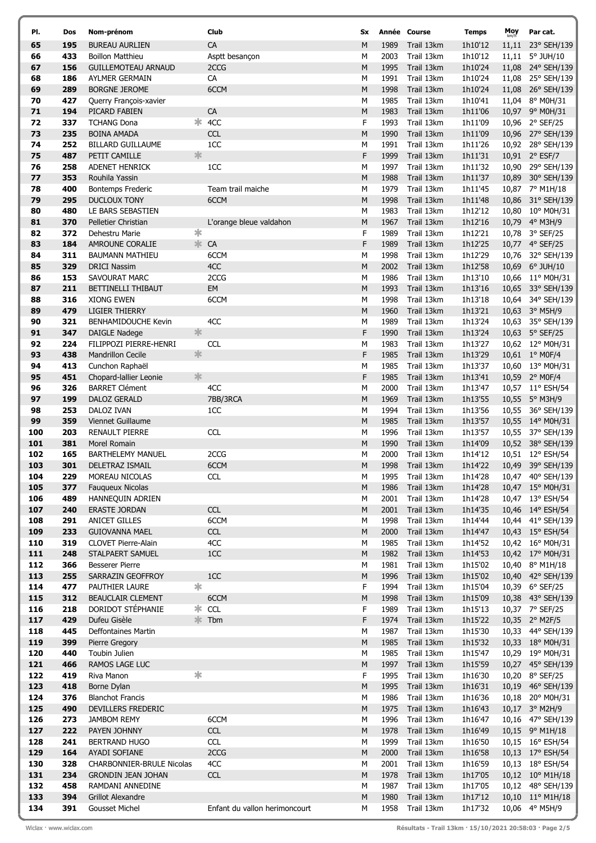| PI.        | Dos        | Nom-prénom                                  | Club                          | Sx.       |              | Année Course             | <b>Temps</b>       | Moy | Par cat.                              |
|------------|------------|---------------------------------------------|-------------------------------|-----------|--------------|--------------------------|--------------------|-----|---------------------------------------|
| 65         | 195        | <b>BUREAU AURLIEN</b>                       | CA                            | M         | 1989         | Trail 13km               | 1h10'12            |     | 11,11 23° SEH/139                     |
| 66         | 433        | <b>Boillon Matthieu</b>                     | Asptt besançon                | M         | 2003         | Trail 13km               | 1h10'12            |     | 11,11 5° JUH/10                       |
| 67         | 156        | <b>GUILLEMOTEAU ARNAUD</b>                  | 2CCG                          | M         | 1995         | Trail 13km               | 1h10'24            |     | 11,08 24° SEH/139                     |
| 68         | 186        | AYLMER GERMAIN                              | CA                            | М         | 1991         | Trail 13km               | 1h10'24            |     | 11,08 25° SEH/139                     |
| 69         | 289        | <b>BORGNE JEROME</b>                        | 6CCM                          | M         | 1998         | Trail 13km               | 1h10'24            |     | 11,08 26° SEH/139                     |
| 70         | 427        | Querry François-xavier                      |                               | М         | 1985         | Trail 13km               | 1h10'41            |     | 11,04 8° M0H/31                       |
| 71         | 194        | PICARD FABIEN                               | CA                            | ${\sf M}$ | 1983         | Trail 13km               | 1h11'06            |     | 10,97 9° M0H/31                       |
| 72         | 337        | <b>TCHANG Dona</b>                          | $*$ 4CC                       | F         | 1993         | Trail 13km               | 1h11'09            |     | 10,96 2° SEF/25                       |
| 73         | 235        | <b>BOINA AMADA</b>                          | <b>CCL</b>                    | M         | 1990         | Trail 13km               | 1h11'09            |     | 10,96 27° SEH/139                     |
| 74         | 252        | <b>BILLARD GUILLAUME</b>                    | 1CC                           | M         | 1991         | Trail 13km               | 1h11'26            |     | 10,92 28° SEH/139                     |
| 75         | 487        | 氺<br>PETIT CAMILLE                          |                               | F         | 1999         | Trail 13km               | 1h11'31            |     | 10,91 2° ESF/7                        |
| 76         | 258        | <b>ADENET HENRICK</b>                       | 1CC                           | М         | 1997         | Trail 13km               | 1h11'32            |     | 10,90 29° SEH/139                     |
| 77         | 353        | Rouhila Yassin                              |                               | M         | 1988         | Trail 13km               | 1h11'37            |     | 10,89 30° SEH/139                     |
| 78         | 400        | <b>Bontemps Frederic</b>                    | Team trail maiche             | М         | 1979         | Trail 13km               | 1h11'45            |     | 10,87 7° M1H/18                       |
| 79         | 295        | <b>DUCLOUX TONY</b>                         | 6CCM                          | M         | 1998         | Trail 13km               | 1h11'48            |     | 10,86 31° SEH/139                     |
| 80         | 480<br>370 | LE BARS SEBASTIEN                           |                               | М<br>M    | 1983<br>1967 | Trail 13km               | 1h12'12            |     | 10,80 10° M0H/31<br>10,79 4° M3H/9    |
| 81<br>82   | 372        | Pelletier Christian<br>∗<br>Dehestru Marie  | L'orange bleue valdahon       | F         | 1989         | Trail 13km<br>Trail 13km | 1h12'16<br>1h12'21 |     | 10,78 3° SEF/25                       |
| 83         | 184        | AMROUNE CORALIE                             | 氺<br>CA                       | F         | 1989         | Trail 13km               | 1h12'25            |     | 10,77 4° SEF/25                       |
| 84         | 311        | <b>BAUMANN MATHIEU</b>                      | 6CCM                          | М         | 1998         | Trail 13km               | 1h12'29            |     | 10,76 32° SEH/139                     |
| 85         | 329        | <b>DRICI Nassim</b>                         | 4CC                           | M         | 2002         | Trail 13km               | 1h12'58            |     | 10,69 6° JUH/10                       |
| 86         | 153        | SAVOURAT MARC                               | 2CCG                          | М         | 1986         | Trail 13km               | 1h13'10            |     | 10,66 11° M0H/31                      |
| 87         | 211        | BETTINELLI THIBAUT                          | EM                            | ${\sf M}$ | 1993         | Trail 13km               | 1h13'16            |     | 10,65 33° SEH/139                     |
| 88         | 316        | <b>XIONG EWEN</b>                           | 6CCM                          | М         | 1998         | Trail 13km               | 1h13'18            |     | 10,64 34° SEH/139                     |
| 89         | 479        | <b>LIGIER THIERRY</b>                       |                               | M         | 1960         | Trail 13km               | 1h13'21            |     | 10,63 3° M5H/9                        |
| 90         | 321        | BENHAMIDOUCHE Kevin                         | 4CC                           | М         | 1989         | Trail 13km               | 1h13'24            |     | 10,63 35° SEH/139                     |
| 91         | 347        | 氺<br><b>DAIGLE Nadege</b>                   |                               | F         | 1990         | Trail 13km               | 1h13'24            |     | 10,63 5° SEF/25                       |
| 92         | 224        | FILIPPOZI PIERRE-HENRI                      | <b>CCL</b>                    | М         | 1983         | Trail 13km               | 1h13'27            |     | 10,62 12° M0H/31                      |
| 93         | 438        | 氺<br><b>Mandrillon Cecile</b>               |                               | F         | 1985         | Trail 13km               | 1h13'29            |     | 10,61 1° M0F/4                        |
| 94         | 413        | Cunchon Raphaël                             |                               | М         | 1985         | Trail 13km               | 1h13'37            |     | 10,60 13° M0H/31                      |
| 95         | 451        | 氺<br>Chopard-lallier Leonie                 |                               | F         | 1985         | Trail 13km               | 1h13'41            |     | 10,59 2° M0F/4                        |
| 96         | 326        | <b>BARRET Clément</b>                       | 4CC                           | M         | 2000         | Trail 13km               | 1h13'47            |     | 10,57 11° ESH/54                      |
| 97         | 199        | DALOZ GERALD                                | 7BB/3RCA                      | M         | 1969         | Trail 13km               | 1h13'55            |     | 10,55 5° M3H/9                        |
| 98<br>99   | 253<br>359 | DALOZ IVAN<br>Viennet Guillaume             | 1CC                           | M<br>M    | 1994<br>1985 | Trail 13km<br>Trail 13km | 1h13'56<br>1h13'57 |     | 10,55 36° SEH/139<br>10,55 14° M0H/31 |
| 100        | 203        | <b>RENAULT PIERRE</b>                       | <b>CCL</b>                    | М         | 1996         | Trail 13km               | 1h13'57            |     | 10,55 37° SEH/139                     |
| 101        | 381        | Morel Romain                                |                               | M         | 1990         | Trail 13km               | 1h14'09            |     | 10,52 38° SEH/139                     |
| 102        | 165        | <b>BARTHELEMY MANUEL</b>                    | 2CCG                          | М         | 2000         | Trail 13km               | 1h14'12            |     | 10,51 12° ESH/54                      |
| 103        | 301        | DELETRAZ ISMAIL                             | 6CCM                          | М         | 1998         | Trail 13km               | 1h14'22            |     | 10,49 39° SEH/139                     |
| 104        | 229        | MOREAU NICOLAS                              | <b>CCL</b>                    | М         | 1995         | Trail 13km               | 1h14'28            |     | 10,47 40° SEH/139                     |
| 105        | 377        | <b>Faugueux Nicolas</b>                     |                               | M         | 1986         | Trail 13km               | 1h14'28            |     | 10,47 15° M0H/31                      |
| 106        | 489        | HANNEQUIN ADRIEN                            |                               | М         | 2001         | Trail 13km               | 1h14'28            |     | 10,47 13° ESH/54                      |
| 107        | 240        | <b>ERASTE JORDAN</b>                        | <b>CCL</b>                    | M         | 2001         | Trail 13km               | 1h14'35            |     | 10,46 14° ESH/54                      |
| 108        | 291        | <b>ANICET GILLES</b>                        | 6CCM                          | М         | 1998         | Trail 13km               | 1h14'44            |     | 10,44 41° SEH/139                     |
| 109        | 233        | <b>GUIOVANNA MAEL</b>                       | <b>CCL</b>                    | ${\sf M}$ | 2000         | Trail 13km               | 1h14'47            |     | 10,43 15° ESH/54                      |
| 110        | 319        | <b>CLOVET Pierre-Alain</b>                  | 4CC                           | М         | 1985         | Trail 13km               | 1h14'52            |     | 10,42 16° M0H/31                      |
| 111        | 248<br>366 | STALPAERT SAMUEL                            | 1CC                           | M         | 1982         | Trail 13km               | 1h14'53            |     | 10,42 17° M0H/31                      |
| 112<br>113 | 255        | <b>Besserer Pierre</b><br>SARRAZIN GEOFFROY | 1CC                           | М<br>M    | 1981<br>1996 | Trail 13km<br>Trail 13km | 1h15'02<br>1h15'02 |     | 10,40 8° M1H/18<br>10,40 42° SEH/139  |
| 114        | 477        | ∗<br>PAUTHIER LAURE                         |                               | F         | 1994         | Trail 13km               | 1h15'04            |     | 10,39 6° SEF/25                       |
| 115        | 312        | <b>BEAUCLAIR CLEMENT</b>                    | 6CCM                          | ${\sf M}$ | 1998         | Trail 13km               | 1h15'09            |     | 10,38 43° SEH/139                     |
| 116        | 218        | DORIDOT STÉPHANIE                           | $*$ CCL                       | F         | 1989         | Trail 13km               | 1h15'13            |     | 10,37 7° SEF/25                       |
| 117        | 429        | Dufeu Gisèle                                | <b>*</b> Tbm                  | F         | 1974         | Trail 13km               | 1h15'22            |     | 10,35 2° M2F/5                        |
| 118        | 445        | <b>Deffontaines Martin</b>                  |                               | М         | 1987         | Trail 13km               | 1h15'30            |     | 10,33 44° SEH/139                     |
| 119        | 399        | Pierre Gregory                              |                               | ${\sf M}$ | 1985         | Trail 13km               | 1h15'32            |     | 10,33 18° M0H/31                      |
| 120        | 440        | Toubin Julien                               |                               | М         | 1985         | Trail 13km               | 1h15'47            |     | 10,29 19° M0H/31                      |
| 121        | 466        | RAMOS LAGE LUC                              |                               | ${\sf M}$ | 1997         | Trail 13km               | 1h15'59            |     | 10,27 45° SEH/139                     |
| 122        | 419        | ∗<br>Riva Manon                             |                               | F         | 1995         | Trail 13km               | 1h16'30            |     | 10,20 8° SEF/25                       |
| 123        | 418        | Borne Dylan                                 |                               | M         | 1995         | Trail 13km               | 1h16'31            |     | 10,19 46° SEH/139                     |
| 124        | 376        | <b>Blanchot Francis</b>                     |                               | М         | 1986         | Trail 13km               | 1h16'36            |     | 10,18 20° M0H/31                      |
| 125<br>126 | 490<br>273 | DEVILLERS FREDERIC<br><b>JAMBOM REMY</b>    | 6CCM                          | M<br>М    | 1975<br>1996 | Trail 13km<br>Trail 13km | 1h16'43<br>1h16'47 |     | 10,17 3° M2H/9<br>10,16 47° SEH/139   |
| 127        | 222        | PAYEN JOHNNY                                | CCL                           | ${\sf M}$ | 1978         | Trail 13km               | 1h16'49            |     | 10,15 9° M1H/18                       |
| 128        | 241        | <b>BERTRAND HUGO</b>                        | <b>CCL</b>                    | М         | 1999         | Trail 13km               | 1h16'50            |     | 10,15 16° ESH/54                      |
| 129        | 164        | <b>AYADI SOFIANE</b>                        | 2CCG                          | M         | 2000         | Trail 13km               | 1h16'58            |     | 10,13 17° ESH/54                      |
| 130        | 328        | <b>CHARBONNIER-BRULE Nicolas</b>            | 4CC                           | М         | 2001         | Trail 13km               | 1h16'59            |     | 10,13 18° ESH/54                      |
| 131        | 234        | <b>GRONDIN JEAN JOHAN</b>                   | <b>CCL</b>                    | ${\sf M}$ | 1978         | Trail 13km               | 1h17'05            |     | 10,12 10° M1H/18                      |
| 132        | 458        | RAMDANI ANNEDINE                            |                               | М         | 1987         | Trail 13km               | 1h17'05            |     | 10,12 48° SEH/139                     |
| 133        | 394        | <b>Grillot Alexandre</b>                    |                               | ${\sf M}$ | 1980         | Trail 13km               | 1h17'12            |     | 10,10 11° M1H/18                      |
| 134        | 391        | <b>Gousset Michel</b>                       | Enfant du vallon herimoncourt | М         | 1958         | Trail 13km               | 1h17'32            |     | 10,06 4° M5H/9                        |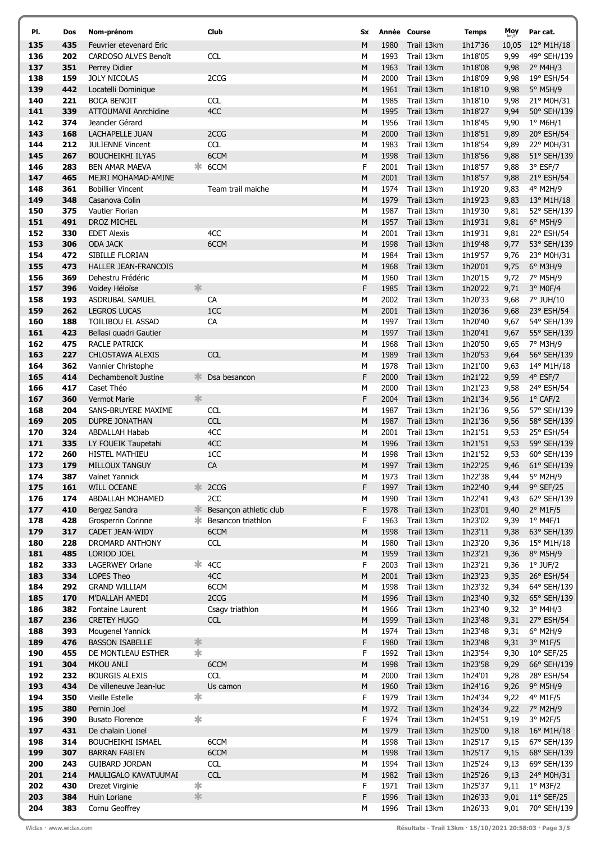| PI.        | Dos        | Nom-prénom                                      |        | Club                   | Sx        |              | Année Course             | <b>Temps</b>       | Moy          | Par cat.                  |
|------------|------------|-------------------------------------------------|--------|------------------------|-----------|--------------|--------------------------|--------------------|--------------|---------------------------|
| 135        | 435        | Feuvrier etevenard Eric                         |        |                        | M         | 1980         | Trail 13km               | 1h17'36            | 10,05        | 12° M1H/18                |
| 136        | 202        | CARDOSO ALVES Benoît                            |        | <b>CCL</b>             | М         | 1993         | Trail 13km               | 1h18'05            | 9,99         | 49° SEH/139               |
| 137        | 351        | Perrey Didier                                   |        |                        | M         | 1963         | Trail 13km               | 1h18'08            | 9,98         | $2^{\circ}$ M4H/3         |
| 138        | 159        | <b>JOLY NICOLAS</b>                             |        | 2CCG                   | М         | 2000         | Trail 13km               | 1h18'09            | 9,98         | 19° ESH/54                |
| 139        | 442        | Locatelli Dominique                             |        |                        | M         | 1961         | Trail 13km               | 1h18'10            | 9,98         | 5° M5H/9                  |
| 140        | 221        | <b>BOCA BENOIT</b>                              |        | <b>CCL</b>             | M         | 1985         | Trail 13km               | 1h18'10            | 9,98         | 21° M0H/31                |
| 141        | 339        | <b>ATTOUMANI Anrchidine</b>                     |        | 4CC                    | M         | 1995         | Trail 13km               | 1h18'27            | 9,94         | 50° SEH/139               |
| 142        | 374        | Jeancler Gérard                                 |        |                        | М         | 1956         | Trail 13km               | 1h18'45            | 9,90         | $1^{\circ}$ M6H/1         |
| 143        | 168        | LACHAPELLE JUAN                                 |        | 2CCG                   | ${\sf M}$ | 2000         | Trail 13km               | 1h18'51            | 9,89         | 20° ESH/54                |
| 144        | 212        | <b>JULIENNE Vincent</b>                         |        | <b>CCL</b>             | М         | 1983         | Trail 13km               | 1h18'54            | 9,89         | 22° M0H/31                |
| 145        | 267        | <b>BOUCHEIKHI ILYAS</b>                         |        | 6CCM                   | M         | 1998         | Trail 13km               | 1h18'56            | 9,88         | 51° SEH/139               |
| 146<br>147 | 283<br>465 | <b>BEN AMAR MAEVA</b>                           |        | * 6CCM                 | F<br>M    | 2001<br>2001 | Trail 13km               | 1h18'57            | 9,88         | 3° ESF/7                  |
| 148        | 361        | MEJRI MOHAMAD-AMINE<br><b>Bobillier Vincent</b> |        | Team trail maiche      | M         | 1974         | Trail 13km<br>Trail 13km | 1h18'57<br>1h19'20 | 9,88<br>9,83 | 21° ESH/54<br>4° M2H/9    |
| 149        | 348        | Casanova Colin                                  |        |                        | M         | 1979         | Trail 13km               | 1h19'23            | 9,83         | 13° M1H/18                |
| 150        | 375        | Vautier Florian                                 |        |                        | М         | 1987         | Trail 13km               | 1h19'30            | 9,81         | 52° SEH/139               |
| 151        | 491        | DROZ MICHEL                                     |        |                        | M         | 1957         | Trail 13km               | 1h19'31            | 9,81         | 6° M5H/9                  |
| 152        | 330        | <b>EDET Alexis</b>                              |        | 4CC                    | M         | 2001         | Trail 13km               | 1h19'31            | 9,81         | 22° ESH/54                |
| 153        | 306        | <b>ODA JACK</b>                                 |        | 6CCM                   | ${\sf M}$ | 1998         | Trail 13km               | 1h19'48            | 9,77         | 53° SEH/139               |
| 154        | 472        | SIBILLE FLORIAN                                 |        |                        | М         | 1984         | Trail 13km               | 1h19'57            | 9,76         | 23° M0H/31                |
| 155        | 473        | <b>HALLER JEAN-FRANCOIS</b>                     |        |                        | M         | 1968         | Trail 13km               | 1h20'01            | 9,75         | 6° M3H/9                  |
| 156        | 369        | Dehestru Frédéric                               |        |                        | M         | 1960         | Trail 13km               | 1h20'15            | 9,72         | 7° M5H/9                  |
| 157        | 396        | Voidey Héloïse                                  | 氺      |                        | F         | 1985         | Trail 13km               | 1h20'22            | 9,71         | 3° M0F/4                  |
| 158        | 193        | ASDRUBAL SAMUEL                                 |        | CA                     | M         | 2002         | Trail 13km               | 1h20'33            | 9,68         | 7° JUH/10                 |
| 159        | 262        | <b>LEGROS LUCAS</b>                             |        | 1CC                    | M         | 2001         | Trail 13km               | 1h20'36            | 9,68         | 23° ESH/54                |
| 160        | 188        | TOILIBOU EL ASSAD                               |        | CA                     | М         | 1997         | Trail 13km               | 1h20'40            | 9,67         | 54° SEH/139               |
| 161        | 423        | Bellasi quadri Gautier                          |        |                        | M         | 1997         | Trail 13km               | 1h20'41            | 9,67         | 55° SEH/139               |
| 162        | 475        | RACLE PATRICK                                   |        |                        | M         | 1968         | Trail 13km               | 1h20'50            | 9,65         | 7° M3H/9                  |
| 163        | 227        | CHLOSTAWA ALEXIS                                |        | <b>CCL</b>             | M         | 1989         | Trail 13km               | 1h20'53            | 9,64         | 56° SEH/139               |
| 164        | 362        | Vannier Christophe                              |        |                        | М         | 1978         | Trail 13km               | 1h21'00            | 9,63         | 14° M1H/18                |
| 165        | 414        | Dechambenoit Justine                            | 氺      | Dsa besancon           | F         | 2000         | Trail 13km               | 1h21'22            | 9,59         | 4° ESF/7                  |
| 166        | 417        | Caset Théo                                      |        |                        | М         | 2000         | Trail 13km               | 1h21'23            | 9,58         | 24° ESH/54                |
| 167        | 360        | <b>Vermot Marie</b>                             | 氺      |                        | F         | 2004         | Trail 13km               | 1h21'34            | 9,56         | $1^{\circ}$ CAF/2         |
| 168        | 204        | SANS-BRUYERE MAXIME                             |        | <b>CCL</b>             | M         | 1987         | Trail 13km               | 1h21'36            | 9,56         | 57° SEH/139               |
| 169<br>170 | 205        | <b>DUPRE JONATHAN</b>                           |        | CCL                    | M         | 1987<br>2001 | Trail 13km               | 1h21'36            | 9,56         | 58° SEH/139               |
| 171        | 324<br>335 | <b>ABDALLAH Habab</b><br>LY FOUEIK Taupetahi    |        | 4CC<br>4CC             | М<br>M    | 1996         | Trail 13km<br>Trail 13km | 1h21'51<br>1h21'51 | 9,53<br>9,53 | 25° ESH/54<br>59° SEH/139 |
| 172        | 260        | <b>HISTEL MATHIEU</b>                           |        | 1CC                    | М         | 1998         | Trail 13km               | 1h21'52            | 9,53         | 60° SEH/139               |
| 173        | 179        | MILLOUX TANGUY                                  |        | CA                     | M         | 1997         | Trail 13km               | 1h22'25            | 9,46         | 61° SEH/139               |
| 174        | 387        | Valnet Yannick                                  |        |                        | M         | 1973         | Trail 13km               | 1h22'38            | 9,44         | $5^\circ$ M2H/9           |
| 175        | 161        | WILL OCEANE                                     |        | * 2CCG                 | F         | 1997         | Trail 13km               | 1h22'40            | 9,44         | 9° SEF/25                 |
| 176        | 174        | ABDALLAH MOHAMED                                |        | 2CC                    | М         | 1990         | Trail 13km               | 1h22'41            | 9,43         | 62° SEH/139               |
| 177        | 410        | Bergez Sandra                                   | 氺      | Besancon athletic club | F         | 1978         | Trail 13km               | 1h23'01            | 9,40         | $2^{\circ}$ M1F/5         |
| 178        | 428        | Grosperrin Corinne                              | Ж.     | Besancon triathlon     | F.        | 1963         | Trail 13km               | 1h23'02            | 9,39         | $1^{\circ}$ M4F/1         |
| 179        | 317        | CADET JEAN-WIDY                                 |        | 6CCM                   | M         | 1998         | Trail 13km               | 1h23'11            | 9,38         | 63° SEH/139               |
| 180        | 228        | DROMARD ANTHONY                                 |        | <b>CCL</b>             | М         | 1980         | Trail 13km               | 1h23'20            | 9,36         | 15° M1H/18                |
| 181        | 485        | LORIOD JOEL                                     |        |                        | ${\sf M}$ | 1959         | Trail 13km               | 1h23'21            | 9,36         | 8° M5H/9                  |
| 182        | 333        | LAGERWEY Orlane                                 | ∗      | 4CC                    | F.        | 2003         | Trail 13km               | 1h23'21            | 9,36         | $1°$ JUF/2                |
| 183        | 334        | LOPES Theo                                      |        | 4CC                    | ${\sf M}$ | 2001         | Trail 13km               | 1h23'23            | 9,35         | 26° ESH/54                |
| 184        | 292        | <b>GRAND WILLIAM</b>                            |        | 6CCM                   | М         | 1998         | Trail 13km               | 1h23'32            | 9,34         | 64° SEH/139               |
| 185        | 170        | M'DALLAH AMEDI                                  |        | 2CCG                   | ${\sf M}$ | 1996         | Trail 13km               | 1h23'40            | 9,32         | 65° SEH/139               |
| 186        | 382        | Fontaine Laurent                                |        | Csagv triathlon        | М         | 1966         | Trail 13km               | 1h23'40            | 9,32         | $3°$ M4H/3                |
| 187        | 236        | <b>CRETEY HUGO</b>                              |        | <b>CCL</b>             | ${\sf M}$ | 1999         | Trail 13km               | 1h23'48            | 9,31         | 27° ESH/54                |
| 188        | 393        | Mougenel Yannick                                | 氺      |                        | М         | 1974         | Trail 13km               | 1h23'48            | 9,31         | 6° M2H/9<br>3° M1F/5      |
| 189<br>190 | 476<br>455 | <b>BASSON ISABELLE</b><br>DE MONTLEAU ESTHER    | $\ast$ |                        | F<br>F.   | 1980<br>1992 | Trail 13km<br>Trail 13km | 1h23'48<br>1h23'54 | 9,31<br>9,30 | 10° SEF/25                |
| 191        | 304        | <b>MKOU ANLI</b>                                |        | 6CCM                   | ${\sf M}$ | 1998         | Trail 13km               | 1h23'58            | 9,29         | 66° SEH/139               |
| 192        | 232        | <b>BOURGIS ALEXIS</b>                           |        | <b>CCL</b>             | М         | 2000         | Trail 13km               | 1h24'01            | 9,28         | 28° ESH/54                |
| 193        | 434        | De villeneuve Jean-luc                          |        | Us camon               | ${\sf M}$ | 1960         | Trail 13km               | 1h24'16            | 9,26         | 9° M5H/9                  |
| 194        | 350        | Vieille Estelle                                 | ∗      |                        | F.        | 1979         | Trail 13km               | 1h24'34            | 9,22         | 4° M1F/5                  |
| 195        | 380        | Pernin Joel                                     |        |                        | ${\sf M}$ | 1972         | Trail 13km               | 1h24'34            | 9,22         | 7° M2H/9                  |
| 196        | 390        | <b>Busato Florence</b>                          | ∗      |                        | F         | 1974         | Trail 13km               | 1h24'51            | 9,19         | 3° M2F/5                  |
| 197        | 431        | De chalain Lionel                               |        |                        | M         | 1979         | Trail 13km               | 1h25'00            | 9,18         | $16^{\circ}$ M1H/18       |
| 198        | 314        | <b>BOUCHEIKHI ISMAEL</b>                        |        | 6CCM                   | М         | 1998         | Trail 13km               | 1h25'17            | 9,15         | 67° SEH/139               |
| 199        | 307        | <b>BARRAN FABIEN</b>                            |        | 6CCM                   | ${\sf M}$ | 1998         | Trail 13km               | 1h25'17            | 9,15         | 68° SEH/139               |
| 200        | 243        | <b>GUIBARD JORDAN</b>                           |        | <b>CCL</b>             | М         | 1994         | Trail 13km               | 1h25'24            | 9,13         | 69° SEH/139               |
| 201        | 214        | MAULIGALO KAVATUUMAI                            |        | CCL                    | ${\sf M}$ | 1982         | Trail 13km               | 1h25'26            | 9,13         | 24° M0H/31                |
| 202        | 430        | Drezet Virginie                                 | ∗      |                        | F         | 1971         | Trail 13km               | 1h25'37            | 9,11         | $1^{\circ}$ M3F/2         |
| 203        | 384        | Huin Loriane                                    | 氺      |                        | F         | 1996         | Trail 13km               | 1h26'33            | 9,01         | $11^{\circ}$ SEF/25       |
| 204        | 383        | Cornu Geoffrey                                  |        |                        | М         | 1996         | Trail 13km               | 1h26'33            | 9,01         | 70° SEH/139               |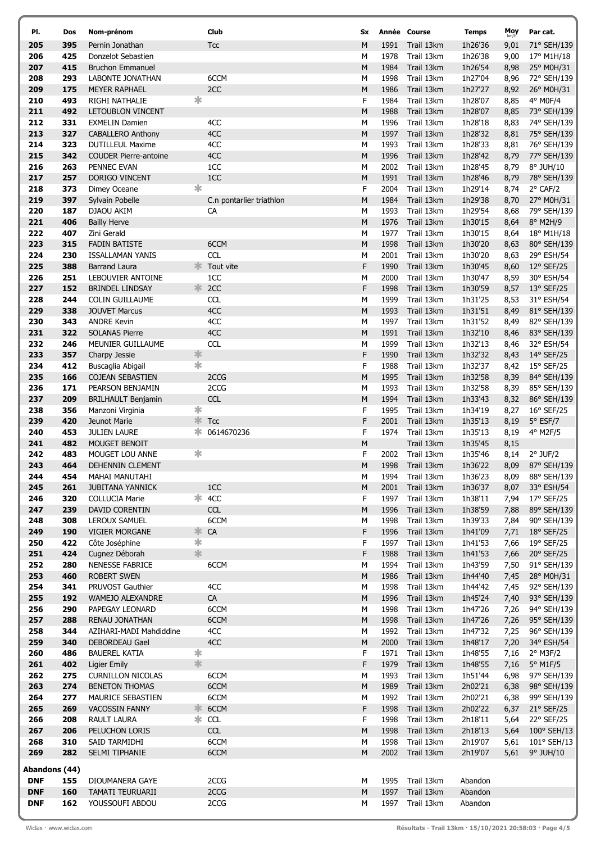| PI.           | Dos        | Nom-prénom                                 |             | Club                            | Sx                                                                                                              |              | Année Course             | <b>Temps</b>       | Moy<br>km/h  | Par cat.                      |
|---------------|------------|--------------------------------------------|-------------|---------------------------------|-----------------------------------------------------------------------------------------------------------------|--------------|--------------------------|--------------------|--------------|-------------------------------|
| 205           | 395        | Pernin Jonathan                            |             | <b>Tcc</b>                      | M                                                                                                               | 1991         | Trail 13km               | 1h26'36            | 9,01         | 71° SEH/139                   |
| 206           | 425        | Donzelot Sebastien                         |             |                                 | М                                                                                                               | 1978         | Trail 13km               | 1h26'38            | 9,00         | 17° M1H/18                    |
| 207           | 415        | <b>Bruchon Emmanuel</b>                    |             |                                 | ${\sf M}$                                                                                                       | 1984         | Trail 13km               | 1h26'54            | 8,98         | 25° M0H/31                    |
| 208           | 293        | LABONTE JONATHAN                           |             | 6CCM                            | М                                                                                                               | 1998         | Trail 13km               | 1h27'04            | 8,96         | 72° SEH/139                   |
| 209           | 175        | <b>MEYER RAPHAEL</b>                       |             | 2CC                             | $\mathsf{M}% _{T}=\mathsf{M}_{T}\!\left( a,b\right) ,\ \mathsf{M}_{T}=\mathsf{M}_{T}\!\left( a,b\right) ,$      | 1986         | Trail 13km               | 1h27'27            | 8,92         | 26° M0H/31                    |
| 210           | 493        | RIGHI NATHALIE                             | ∗           |                                 | F                                                                                                               | 1984         | Trail 13km               | 1h28'07            | 8,85         | 4° M0F/4                      |
| 211           | 492        | LETOUBLON VINCENT                          |             |                                 | M                                                                                                               | 1988         | Trail 13km               | 1h28'07            | 8,85         | 73° SEH/139                   |
| 212<br>213    | 331<br>327 | <b>EXMELIN Damien</b><br>CABALLERO Anthony |             | 4CC<br>4CC                      | М<br>$\mathsf{M}% _{T}=\mathsf{M}_{T}\!\left( a,b\right) ,\ \mathsf{M}_{T}=\mathsf{M}_{T}\!\left( a,b\right) ,$ | 1996<br>1997 | Trail 13km<br>Trail 13km | 1h28'18<br>1h28'32 | 8,83<br>8,81 | 74° SEH/139<br>75° SEH/139    |
| 214           | 323        | <b>DUTILLEUL Maxime</b>                    |             | 4CC                             | M                                                                                                               | 1993         | Trail 13km               | 1h28'33            | 8,81         | 76° SEH/139                   |
| 215           | 342        | <b>COUDER Pierre-antoine</b>               |             | 4CC                             | M                                                                                                               | 1996         | Trail 13km               | 1h28'42            | 8,79         | 77° SEH/139                   |
| 216           | 263        | PENNEC EVAN                                |             | 1CC                             | M                                                                                                               | 2002         | Trail 13km               | 1h28'45            | 8,79         | 8° JUH/10                     |
| 217           | 257        | DORIGO VINCENT                             |             | 1CC                             | ${\sf M}$                                                                                                       | 1991         | Trail 13km               | 1h28'46            | 8,79         | 78° SEH/139                   |
| 218           | 373        | Dimey Oceane                               | *           |                                 | F                                                                                                               | 2004         | Trail 13km               | 1h29'14            | 8,74         | $2^{\circ}$ CAF/2             |
| 219           | 397        | Sylvain Pobelle                            |             | C.n pontarlier triathlon        | M                                                                                                               | 1984         | Trail 13km               | 1h29'38            | 8,70         | 27° M0H/31                    |
| 220           | 187        | DJAOU AKIM                                 |             | CA                              | М                                                                                                               | 1993         | Trail 13km               | 1h29'54            | 8,68         | 79° SEH/139                   |
| 221           | 406        | <b>Bailly Herve</b>                        |             |                                 | M                                                                                                               | 1976         | Trail 13km               | 1h30'15            | 8,64         | 8° M2H/9                      |
| 222           | 407        | Zini Gerald                                |             |                                 | M                                                                                                               | 1977         | Trail 13km               | 1h30'15            | 8,64         | 18° M1H/18                    |
| 223           | 315        | <b>FADIN BATISTE</b>                       |             | 6CCM                            | ${\sf M}$                                                                                                       | 1998         | Trail 13km               | 1h30'20            | 8,63         | 80° SEH/139                   |
| 224           | 230        | ISSALLAMAN YANIS                           |             | <b>CCL</b>                      | М                                                                                                               | 2001         | Trail 13km               | 1h30'20            | 8,63         | 29° ESH/54                    |
| 225<br>226    | 388<br>251 | <b>Barrand Laura</b><br>LEBOUVIER ANTOINE  | ≭ো          | Tout vite<br>1CC                | F<br>M                                                                                                          | 1990<br>2000 | Trail 13km<br>Trail 13km | 1h30'45<br>1h30'47 | 8,60         | 12° SEF/25<br>30° ESH/54      |
| 227           | 152        | <b>BRINDEL LINDSAY</b>                     |             |                                 | F                                                                                                               | 1998         | Trail 13km               | 1h30'59            | 8,59<br>8,57 | 13° SEF/25                    |
| 228           | 244        | COLIN GUILLAUME                            |             | <b>CCL</b>                      | M                                                                                                               | 1999         | Trail 13km               | 1h31'25            | 8,53         | 31° ESH/54                    |
| 229           | 338        | <b>JOUVET Marcus</b>                       |             | 4CC                             | ${\sf M}$                                                                                                       | 1993         | Trail 13km               | 1h31'51            | 8,49         | 81° SEH/139                   |
| 230           | 343        | <b>ANDRE Kevin</b>                         |             | 4CC                             | М                                                                                                               | 1997         | Trail 13km               | 1h31'52            | 8,49         | 82° SEH/139                   |
| 231           | 322        | <b>SOLANAS Pierre</b>                      |             | 4CC                             | M                                                                                                               | 1991         | Trail 13km               | 1h32'10            | 8,46         | 83° SEH/139                   |
| 232           | 246        | MEUNIER GUILLAUME                          |             | <b>CCL</b>                      | М                                                                                                               | 1999         | Trail 13km               | 1h32'13            | 8,46         | 32° ESH/54                    |
| 233           | 357        | Charpy Jessie                              | 氺           |                                 | F                                                                                                               | 1990         | Trail 13km               | 1h32'32            | 8,43         | 14° SEF/25                    |
| 234           | 412        | Buscaglia Abigail                          | 宋           |                                 | F                                                                                                               | 1988         | Trail 13km               | 1h32'37            | 8,42         | 15° SEF/25                    |
| 235           | 166        | <b>COJEAN SEBASTIEN</b>                    |             | 2CCG                            | ${\sf M}$                                                                                                       | 1995         | Trail 13km               | 1h32'58            | 8,39         | 84° SEH/139                   |
| 236           | 171        | PEARSON BENJAMIN                           |             | 2CCG                            | M                                                                                                               | 1993         | Trail 13km               | 1h32'58            | 8,39         | 85° SEH/139                   |
| 237           | 209        | <b>BRILHAULT Benjamin</b>                  |             | <b>CCL</b>                      | M                                                                                                               | 1994         | Trail 13km               | 1h33'43            | 8,32         | 86° SEH/139                   |
| 238           | 356        | Manzoni Virginia                           | $\ast$      |                                 | F                                                                                                               | 1995         | Trail 13km               | 1h34'19            | 8,27         | $16^{\circ}$ SEF/25           |
| 239<br>240    | 420<br>453 | Jeunot Marie<br><b>JULIEN LAURE</b>        | ∗           | $\frac{1}{2}$ Tcc<br>0614670236 | F<br>F                                                                                                          | 2001<br>1974 | Trail 13km<br>Trail 13km | 1h35'13<br>1h35'13 | 8,19<br>8,19 | $5^{\circ}$ ESF/7<br>4° M2F/5 |
| 241           | 482        | MOUGET BENOIT                              |             |                                 | $\mathsf{M}% _{T}=\mathsf{M}_{T}\!\left( a,b\right) ,\ \mathsf{M}_{T}=\mathsf{M}_{T}\!\left( a,b\right) ,$      |              | Trail 13km               | 1h35'45            | 8,15         |                               |
| 242           | 483        | MOUGET LOU ANNE                            | ∗           |                                 | F                                                                                                               | 2002         | Trail 13km               | 1h35'46            | 8,14         | $2°$ JUF/2                    |
| 243           | 464        | DEHENNIN CLEMENT                           |             |                                 | M                                                                                                               | 1998         | Trail 13km               | 1h36'22            | 8,09         | 87° SEH/139                   |
| 244           | 454        | MAHAI MANUTAHI                             |             |                                 | M                                                                                                               | 1994         | Trail 13km               | 1h36'23            | 8,09         | 88° SEH/139                   |
| 245           | 261        | <b>JUBITANA YANNICK</b>                    |             | 1CC                             | M                                                                                                               | 2001         | Trail 13km               | 1h36'37            | 8,07         | 33° ESH/54                    |
| 246           | 320        | <b>COLLUCIA Marie</b>                      |             | $*$ 4CC                         | F                                                                                                               | 1997         | Trail 13km               | 1h38'11            | 7,94         | 17° SEF/25                    |
| 247           | 239        | DAVID CORENTIN                             |             | <b>CCL</b>                      | ${\sf M}$                                                                                                       | 1996         | Trail 13km               | 1h38'59            | 7,88         | 89° SEH/139                   |
| 248           | 308        | LEROUX SAMUEL                              |             | 6CCM                            | M                                                                                                               | 1998         | Trail 13km               | 1h39'33            | 7,84         | 90° SEH/139                   |
| 249           | 190        | <b>VIGIER MORGANE</b>                      |             | $\ast$ CA                       | F                                                                                                               | 1996         | Trail 13km               | 1h41'09            | 7,71         | 18° SEF/25                    |
| 250<br>251    | 422<br>424 | Côte Joséphine<br>Cugnez Déborah           | $\ast$<br>氺 |                                 | F<br>F                                                                                                          | 1997<br>1988 | Trail 13km<br>Trail 13km | 1h41'53            | 7,66         | 19° SEF/25                    |
| 252           | 280        | NENESSE FABRICE                            |             | 6CCM                            | M                                                                                                               | 1994         | Trail 13km               | 1h41'53<br>1h43'59 | 7,66<br>7,50 | 20° SEF/25<br>91° SEH/139     |
| 253           | 460        | <b>ROBERT SWEN</b>                         |             |                                 | ${\sf M}$                                                                                                       | 1986         | Trail 13km               | 1h44'40            | 7,45         | 28° M0H/31                    |
| 254           | 341        | PRUVOST Gauthier                           |             | 4CC                             | M                                                                                                               | 1998         | Trail 13km               | 1h44'42            | 7,45         | 92° SEH/139                   |
| 255           | 192        | WAMEJO ALEXANDRE                           |             | CA                              | ${\sf M}$                                                                                                       | 1996         | Trail 13km               | 1h45'24            | 7,40         | 93° SEH/139                   |
| 256           | 290        | PAPEGAY LEONARD                            |             | 6CCM                            | М                                                                                                               | 1998         | Trail 13km               | 1h47'26            | 7,26         | 94° SEH/139                   |
| 257           | 288        | RENAU JONATHAN                             |             | 6CCM                            | ${\sf M}$                                                                                                       | 1998         | Trail 13km               | 1h47'26            | 7,26         | 95° SEH/139                   |
| 258           | 344        | AZIHARI-MADI Mahdiddine                    |             | 4CC                             | M                                                                                                               | 1992         | Trail 13km               | 1h47'32            | 7,25         | 96° SEH/139                   |
| 259           | 340        | DEBORDEAU Gael                             |             | 4CC                             | ${\sf M}$                                                                                                       | 2000         | Trail 13km               | 1h48'17            | 7,20         | 34° ESH/54                    |
| 260           | 486        | <b>BAUEREL KATIA</b>                       | $\ast$      |                                 | F                                                                                                               | 1971         | Trail 13km               | 1h48'55            | 7,16         | 2° M3F/2                      |
| 261<br>262    | 402<br>275 | Ligier Emily<br><b>CURNILLON NICOLAS</b>   | 氺           | 6CCM                            | F<br>М                                                                                                          | 1979<br>1993 | Trail 13km<br>Trail 13km | 1h48'55<br>1h51'44 | 7,16<br>6,98 | 5° M1F/5<br>97° SEH/139       |
| 263           | 274        | <b>BENETON THOMAS</b>                      |             | 6CCM                            | ${\sf M}$                                                                                                       | 1989         | Trail 13km               | 2h02'21            | 6,38         | 98° SEH/139                   |
| 264           | 277        | MAURICE SEBASTIEN                          |             | 6CCM                            | M                                                                                                               | 1992         | Trail 13km               | 2h02'21            | 6,38         | 99° SEH/139                   |
| 265           | 269        | VACOSSIN FANNY                             | 氺           | 6CCM                            | F                                                                                                               | 1998         | Trail 13km               | 2h02'22            | 6,37         | 21° SEF/25                    |
| 266           | 208        | <b>RAULT LAURA</b>                         | ∗           | <b>CCL</b>                      | F                                                                                                               | 1998         | Trail 13km               | 2h18'11            | 5,64         | 22° SEF/25                    |
| 267           | 206        | PELUCHON LORIS                             |             | <b>CCL</b>                      | M                                                                                                               | 1998         | Trail 13km               | 2h18'13            | 5,64         | 100° SEH/13                   |
| 268           | 310        | SAID TARMIDHI                              |             | 6CCM                            | M                                                                                                               | 1998         | Trail 13km               | 2h19'07            | 5,61         | 101° SEH/13                   |
| 269           | 282        | SELMI TIPHANIE                             |             | 6CCM                            | M                                                                                                               | 2002         | Trail 13km               | 2h19'07            | 5,61         | 9° JUH/10                     |
| Abandons (44) |            |                                            |             |                                 |                                                                                                                 |              |                          |                    |              |                               |
| <b>DNF</b>    | 155        | DIOUMANERA GAYE                            |             | 2CCG                            | М                                                                                                               | 1995         | Trail 13km               | Abandon            |              |                               |
| <b>DNF</b>    | 160        | TAMATI TEURUARII                           |             | 2CCG                            | ${\sf M}$                                                                                                       | 1997         | Trail 13km               | Abandon            |              |                               |
| <b>DNF</b>    | 162        | YOUSSOUFI ABDOU                            |             | 2CCG                            | М                                                                                                               | 1997         | Trail 13km               | Abandon            |              |                               |